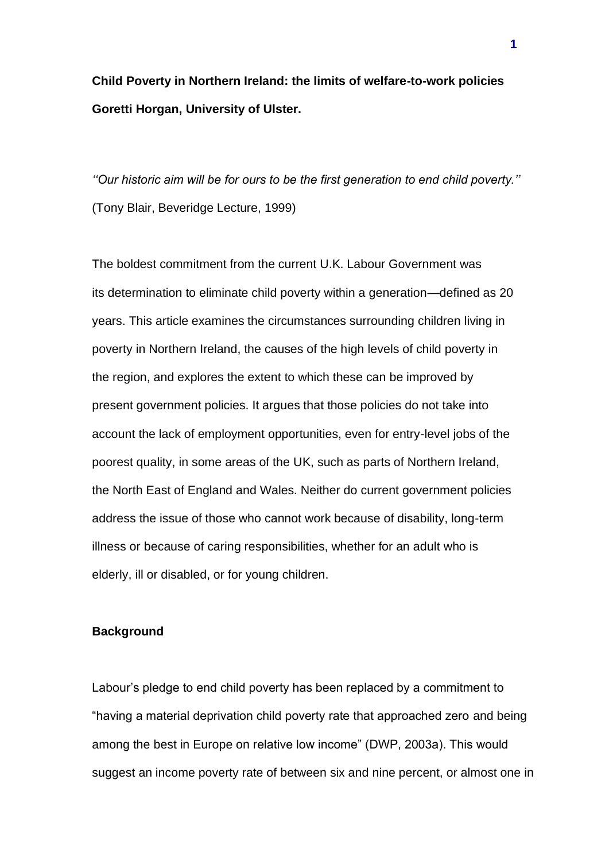**Child Poverty in Northern Ireland: the limits of welfare-to-work policies Goretti Horgan, University of Ulster.**

*''Our historic aim will be for ours to be the first generation to end child poverty.''* (Tony Blair, Beveridge Lecture, 1999)

The boldest commitment from the current U.K. Labour Government was its determination to eliminate child poverty within a generation—defined as 20 years. This article examines the circumstances surrounding children living in poverty in Northern Ireland, the causes of the high levels of child poverty in the region, and explores the extent to which these can be improved by present government policies. It argues that those policies do not take into account the lack of employment opportunities, even for entry-level jobs of the poorest quality, in some areas of the UK, such as parts of Northern Ireland, the North East of England and Wales. Neither do current government policies address the issue of those who cannot work because of disability, long-term illness or because of caring responsibilities, whether for an adult who is elderly, ill or disabled, or for young children.

## **Background**

Labour's pledge to end child poverty has been replaced by a commitment to "having a material deprivation child poverty rate that approached zero and being among the best in Europe on relative low income" (DWP, 2003a). This would suggest an income poverty rate of between six and nine percent, or almost one in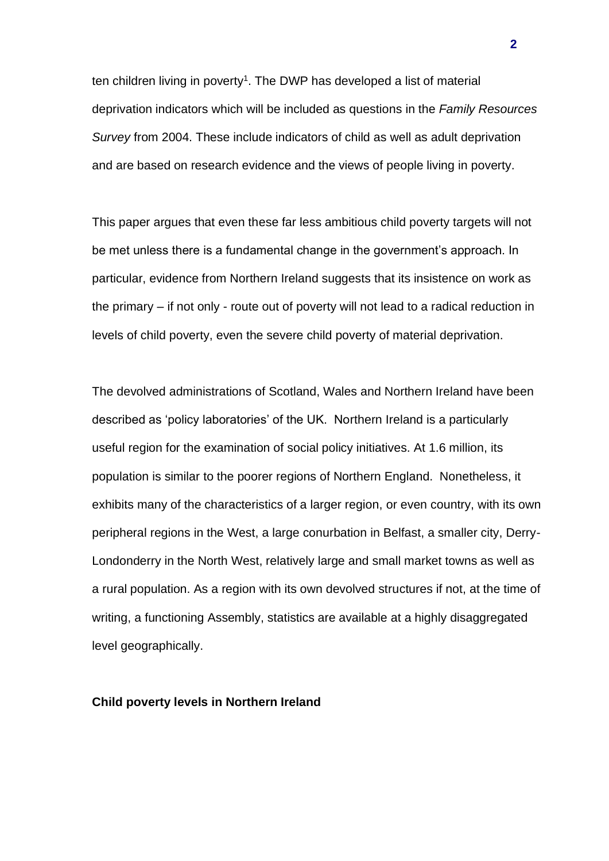ten children living in poverty<sup>1</sup>. The DWP has developed a list of material deprivation indicators which will be included as questions in the *Family Resources Survey* from 2004. These include indicators of child as well as adult deprivation and are based on research evidence and the views of people living in poverty.

This paper argues that even these far less ambitious child poverty targets will not be met unless there is a fundamental change in the government's approach. In particular, evidence from Northern Ireland suggests that its insistence on work as the primary – if not only - route out of poverty will not lead to a radical reduction in levels of child poverty, even the severe child poverty of material deprivation.

The devolved administrations of Scotland, Wales and Northern Ireland have been described as 'policy laboratories' of the UK. Northern Ireland is a particularly useful region for the examination of social policy initiatives. At 1.6 million, its population is similar to the poorer regions of Northern England. Nonetheless, it exhibits many of the characteristics of a larger region, or even country, with its own peripheral regions in the West, a large conurbation in Belfast, a smaller city, Derry-Londonderry in the North West, relatively large and small market towns as well as a rural population. As a region with its own devolved structures if not, at the time of writing, a functioning Assembly, statistics are available at a highly disaggregated level geographically.

## **Child poverty levels in Northern Ireland**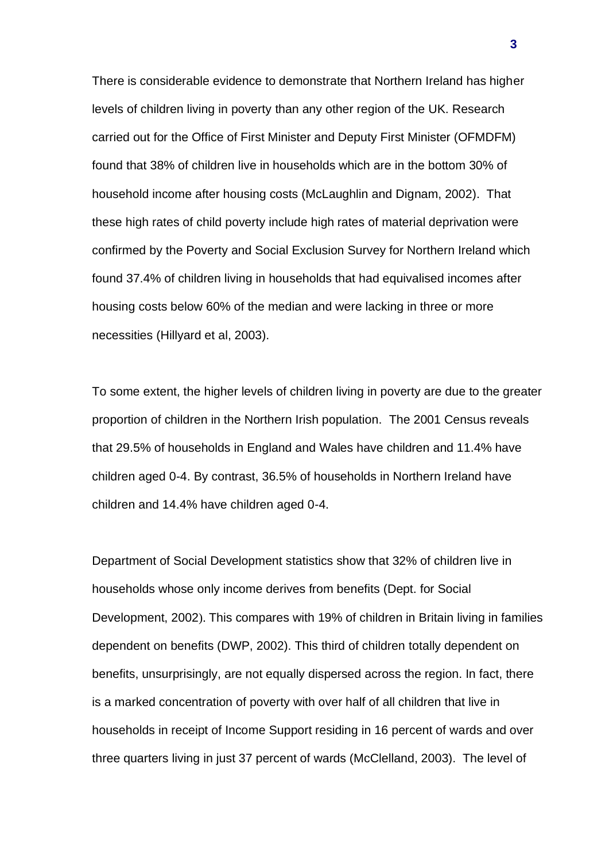There is considerable evidence to demonstrate that Northern Ireland has higher levels of children living in poverty than any other region of the UK. Research carried out for the Office of First Minister and Deputy First Minister (OFMDFM) found that 38% of children live in households which are in the bottom 30% of household income after housing costs (McLaughlin and Dignam, 2002). That these high rates of child poverty include high rates of material deprivation were confirmed by the Poverty and Social Exclusion Survey for Northern Ireland which found 37.4% of children living in households that had equivalised incomes after housing costs below 60% of the median and were lacking in three or more necessities (Hillyard et al, 2003).

To some extent, the higher levels of children living in poverty are due to the greater proportion of children in the Northern Irish population. The 2001 Census reveals that 29.5% of households in England and Wales have children and 11.4% have children aged 0-4. By contrast, 36.5% of households in Northern Ireland have children and 14.4% have children aged 0-4.

Department of Social Development statistics show that 32% of children live in households whose only income derives from benefits (Dept. for Social Development, 2002). This compares with 19% of children in Britain living in families dependent on benefits (DWP, 2002). This third of children totally dependent on benefits, unsurprisingly, are not equally dispersed across the region. In fact, there is a marked concentration of poverty with over half of all children that live in households in receipt of Income Support residing in 16 percent of wards and over three quarters living in just 37 percent of wards (McClelland, 2003). The level of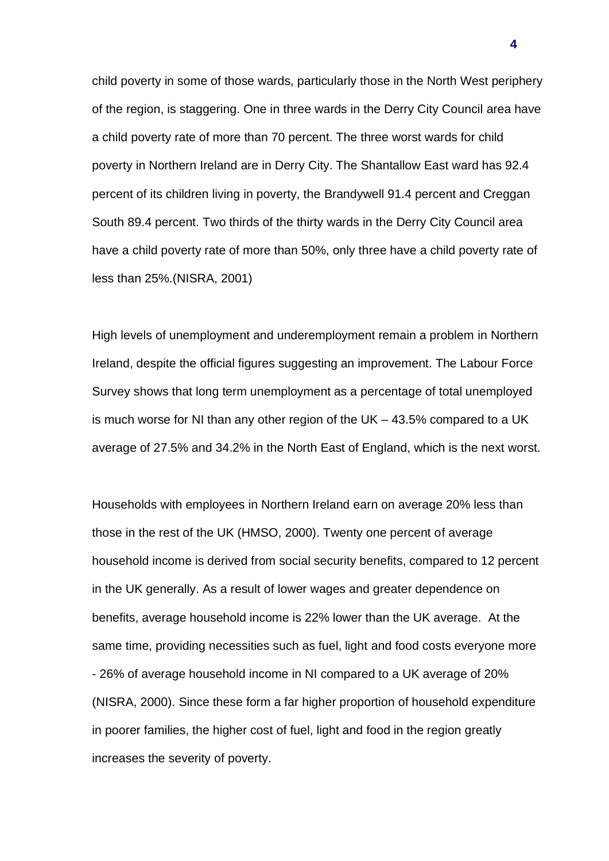child poverty in some of those wards, particularly those in the North West periphery of the region, is staggering. One in three wards in the Derry City Council area have a child poverty rate of more than 70 percent. The three worst wards for child poverty in Northern Ireland are in Derry City. The Shantallow East ward has 92.4 percent of its children living in poverty, the Brandywell 91.4 percent and Creggan South 89.4 percent. Two thirds of the thirty wards in the Derry City Council area have a child poverty rate of more than 50%, only three have a child poverty rate of less than 25%.(NISRA, 2001)

High levels of unemployment and underemployment remain a problem in Northern Ireland, despite the official figures suggesting an improvement. The Labour Force Survey shows that long term unemployment as a percentage of total unemployed is much worse for NI than any other region of the UK – 43.5% compared to a UK average of 27.5% and 34.2% in the North East of England, which is the next worst.

Households with employees in Northern Ireland earn on average 20% less than those in the rest of the UK (HMSO, 2000). Twenty one percent of average household income is derived from social security benefits, compared to 12 percent in the UK generally. As a result of lower wages and greater dependence on benefits, average household income is 22% lower than the UK average. At the same time, providing necessities such as fuel, light and food costs everyone more - 26% of average household income in NI compared to a UK average of 20% (NISRA, 2000). Since these form a far higher proportion of household expenditure in poorer families, the higher cost of fuel, light and food in the region greatly increases the severity of poverty.

**4**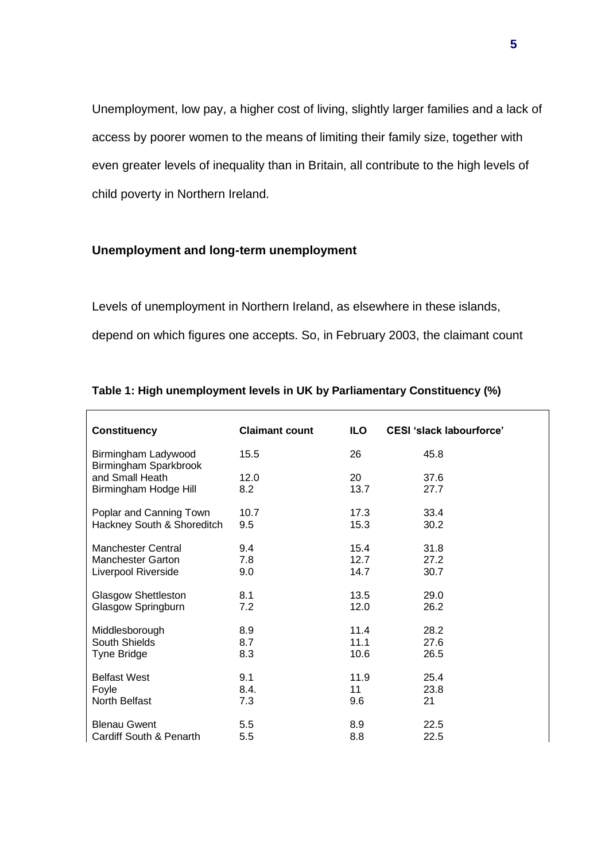Unemployment, low pay, a higher cost of living, slightly larger families and a lack of access by poorer women to the means of limiting their family size, together with even greater levels of inequality than in Britain, all contribute to the high levels of child poverty in Northern Ireland.

## **Unemployment and long-term unemployment**

Levels of unemployment in Northern Ireland, as elsewhere in these islands, depend on which figures one accepts. So, in February 2003, the claimant count

| <b>Constituency</b>                          | <b>Claimant count</b> | ILO. | <b>CESI 'slack labourforce'</b> |
|----------------------------------------------|-----------------------|------|---------------------------------|
| Birmingham Ladywood<br>Birmingham Sparkbrook | 15.5                  | 26   | 45.8                            |
| and Small Heath                              | 12.0                  | 20   | 37.6                            |
| Birmingham Hodge Hill                        | 8.2                   | 13.7 | 27.7                            |
| Poplar and Canning Town                      | 10.7                  | 17.3 | 33.4                            |
| Hackney South & Shoreditch                   | 9.5                   | 15.3 | 30.2                            |
| Manchester Central                           | 9.4                   | 15.4 | 31.8                            |
| <b>Manchester Garton</b>                     | 7.8                   | 12.7 | 27.2                            |
| Liverpool Riverside                          | 9.0                   | 14.7 | 30.7                            |
| <b>Glasgow Shettleston</b>                   | 8.1                   | 13.5 | 29.0                            |
| Glasgow Springburn                           | 7.2                   | 12.0 | 26.2                            |
| Middlesborough                               | 8.9                   | 11.4 | 28.2                            |
| South Shields                                | 8.7                   | 11.1 | 27.6                            |
| Tyne Bridge                                  | 8.3                   | 10.6 | 26.5                            |
| <b>Belfast West</b>                          | 9.1                   | 11.9 | 25.4                            |
| Foyle                                        | 8.4.                  | 11   | 23.8                            |
| North Belfast                                | 7.3                   | 9.6  | 21                              |
| <b>Blenau Gwent</b>                          | 5.5                   | 8.9  | 22.5                            |
| Cardiff South & Penarth                      | 5.5                   | 8.8  | 22.5                            |

# **Table 1: High unemployment levels in UK by Parliamentary Constituency (%)**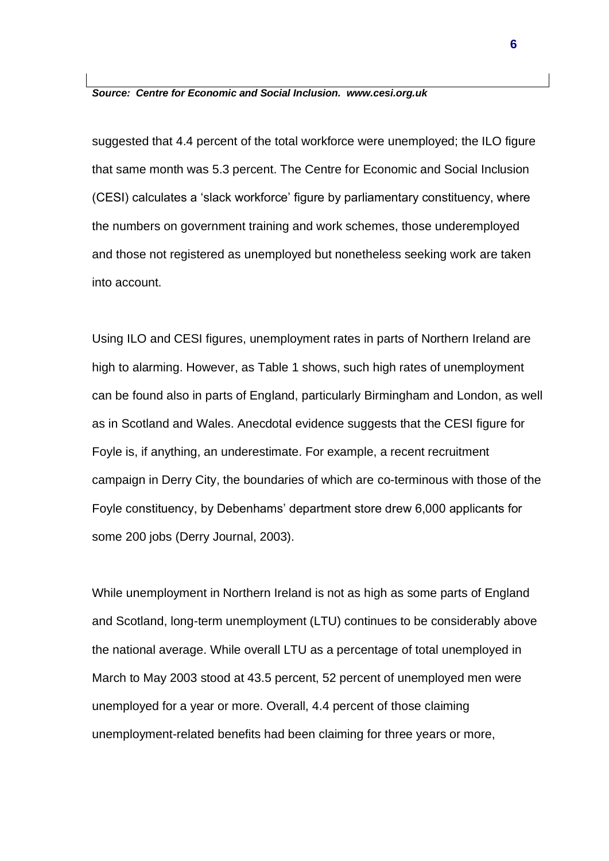#### *Source: Centre for Economic and Social Inclusion. www.cesi.org.uk*

suggested that 4.4 percent of the total workforce were unemployed; the ILO figure that same month was 5.3 percent. The Centre for Economic and Social Inclusion (CESI) calculates a 'slack workforce' figure by parliamentary constituency, where the numbers on government training and work schemes, those underemployed and those not registered as unemployed but nonetheless seeking work are taken into account.

Using ILO and CESI figures, unemployment rates in parts of Northern Ireland are high to alarming. However, as Table 1 shows, such high rates of unemployment can be found also in parts of England, particularly Birmingham and London, as well as in Scotland and Wales. Anecdotal evidence suggests that the CESI figure for Foyle is, if anything, an underestimate. For example, a recent recruitment campaign in Derry City, the boundaries of which are co-terminous with those of the Foyle constituency, by Debenhams' department store drew 6,000 applicants for some 200 jobs (Derry Journal, 2003).

While unemployment in Northern Ireland is not as high as some parts of England and Scotland, long-term unemployment (LTU) continues to be considerably above the national average. While overall LTU as a percentage of total unemployed in March to May 2003 stood at 43.5 percent, 52 percent of unemployed men were unemployed for a year or more. Overall, 4.4 percent of those claiming unemployment-related benefits had been claiming for three years or more,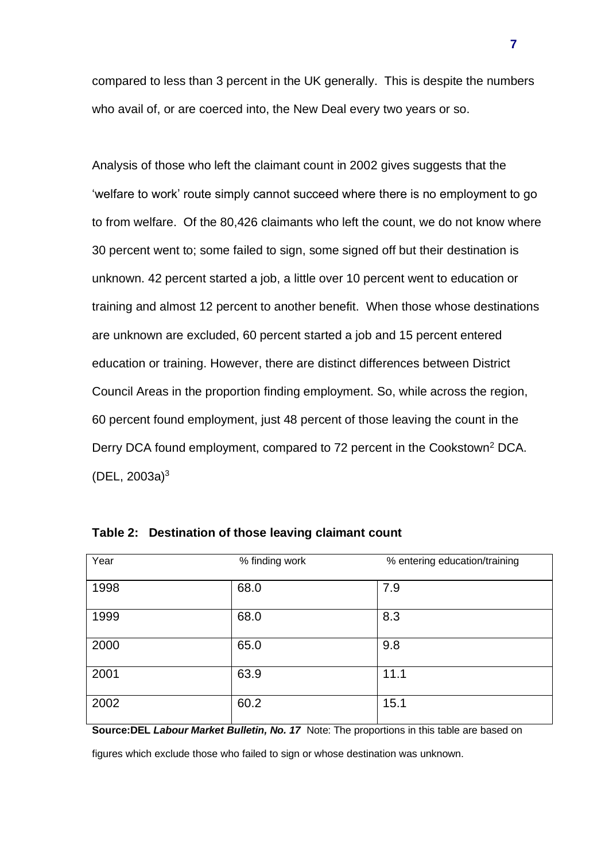compared to less than 3 percent in the UK generally. This is despite the numbers who avail of, or are coerced into, the New Deal every two years or so.

Analysis of those who left the claimant count in 2002 gives suggests that the 'welfare to work' route simply cannot succeed where there is no employment to go to from welfare. Of the 80,426 claimants who left the count, we do not know where 30 percent went to; some failed to sign, some signed off but their destination is unknown. 42 percent started a job, a little over 10 percent went to education or training and almost 12 percent to another benefit. When those whose destinations are unknown are excluded, 60 percent started a job and 15 percent entered education or training. However, there are distinct differences between District Council Areas in the proportion finding employment. So, while across the region, 60 percent found employment, just 48 percent of those leaving the count in the Derry DCA found employment, compared to 72 percent in the Cookstown<sup>2</sup> DCA.  $(DEL, 2003a)^3$ 

| Year | % finding work | % entering education/training |
|------|----------------|-------------------------------|
| 1998 | 68.0           | 7.9                           |
| 1999 | 68.0           | 8.3                           |
| 2000 | 65.0           | 9.8                           |
| 2001 | 63.9           | 11.1                          |
| 2002 | 60.2           | 15.1                          |

**Table 2: Destination of those leaving claimant count**

**Source:DEL** *Labour Market Bulletin, No. 17* Note: The proportions in this table are based on

figures which exclude those who failed to sign or whose destination was unknown.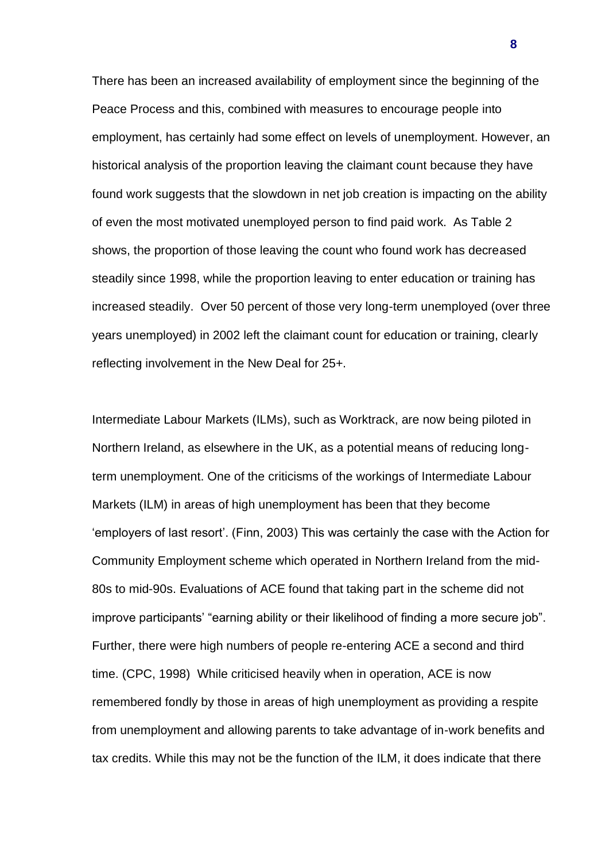There has been an increased availability of employment since the beginning of the Peace Process and this, combined with measures to encourage people into employment, has certainly had some effect on levels of unemployment. However, an historical analysis of the proportion leaving the claimant count because they have found work suggests that the slowdown in net job creation is impacting on the ability of even the most motivated unemployed person to find paid work. As Table 2 shows, the proportion of those leaving the count who found work has decreased steadily since 1998, while the proportion leaving to enter education or training has increased steadily. Over 50 percent of those very long-term unemployed (over three years unemployed) in 2002 left the claimant count for education or training, clearly reflecting involvement in the New Deal for 25+.

Intermediate Labour Markets (ILMs), such as Worktrack, are now being piloted in Northern Ireland, as elsewhere in the UK, as a potential means of reducing longterm unemployment. One of the criticisms of the workings of Intermediate Labour Markets (ILM) in areas of high unemployment has been that they become 'employers of last resort'. (Finn, 2003) This was certainly the case with the Action for Community Employment scheme which operated in Northern Ireland from the mid-80s to mid-90s. Evaluations of ACE found that taking part in the scheme did not improve participants' "earning ability or their likelihood of finding a more secure job". Further, there were high numbers of people re-entering ACE a second and third time. (CPC, 1998) While criticised heavily when in operation, ACE is now remembered fondly by those in areas of high unemployment as providing a respite from unemployment and allowing parents to take advantage of in-work benefits and tax credits. While this may not be the function of the ILM, it does indicate that there

**8**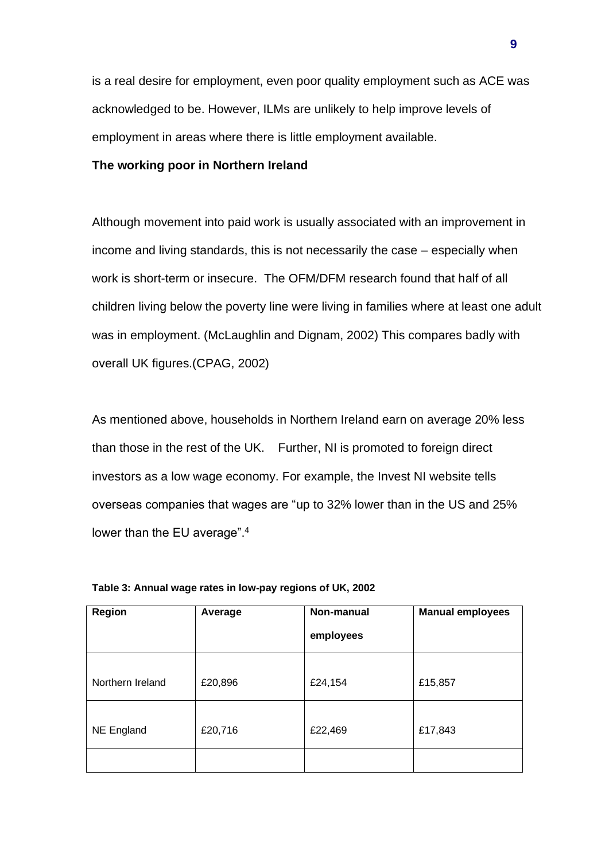is a real desire for employment, even poor quality employment such as ACE was acknowledged to be. However, ILMs are unlikely to help improve levels of employment in areas where there is little employment available.

### **The working poor in Northern Ireland**

Although movement into paid work is usually associated with an improvement in income and living standards, this is not necessarily the case – especially when work is short-term or insecure. The OFM/DFM research found that half of all children living below the poverty line were living in families where at least one adult was in employment. (McLaughlin and Dignam, 2002) This compares badly with overall UK figures.(CPAG, 2002)

As mentioned above, households in Northern Ireland earn on average 20% less than those in the rest of the UK. Further, NI is promoted to foreign direct investors as a low wage economy. For example, the Invest NI website tells overseas companies that wages are "up to 32% lower than in the US and 25% lower than the EU average".<sup>4</sup>

| <b>Region</b>     | Average | Non-manual<br>employees | <b>Manual employees</b> |
|-------------------|---------|-------------------------|-------------------------|
| Northern Ireland  | £20,896 | £24,154                 | £15,857                 |
| <b>NE England</b> | £20,716 | £22,469                 | £17,843                 |
|                   |         |                         |                         |

**Table 3: Annual wage rates in low-pay regions of UK, 2002**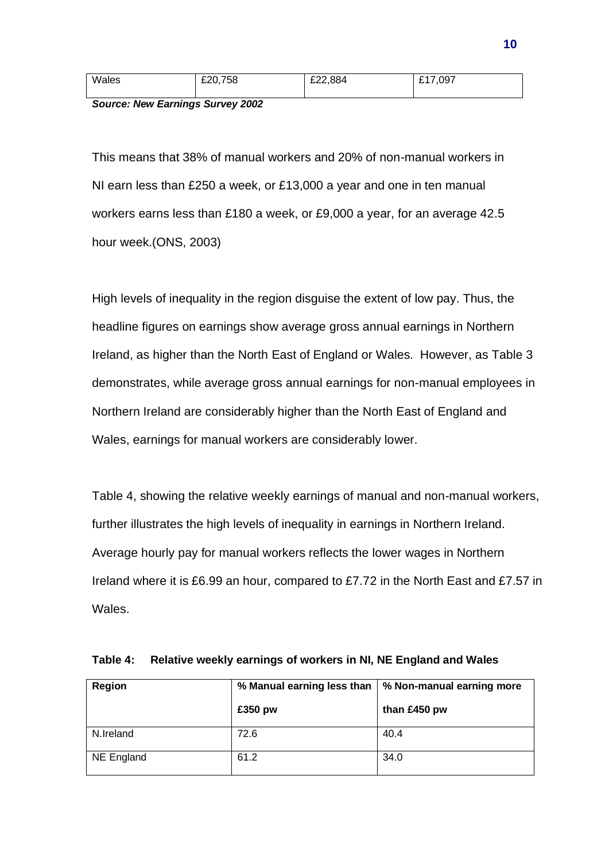| Wales | £20,758 | £22,884 | £17,097 |
|-------|---------|---------|---------|
|       |         |         |         |

*Source: New Earnings Survey 2002*

This means that 38% of manual workers and 20% of non-manual workers in NI earn less than £250 a week, or £13,000 a year and one in ten manual workers earns less than £180 a week, or £9,000 a year, for an average 42.5 hour week.(ONS, 2003)

High levels of inequality in the region disguise the extent of low pay. Thus, the headline figures on earnings show average gross annual earnings in Northern Ireland, as higher than the North East of England or Wales. However, as Table 3 demonstrates, while average gross annual earnings for non-manual employees in Northern Ireland are considerably higher than the North East of England and Wales, earnings for manual workers are considerably lower.

Table 4, showing the relative weekly earnings of manual and non-manual workers, further illustrates the high levels of inequality in earnings in Northern Ireland. Average hourly pay for manual workers reflects the lower wages in Northern Ireland where it is £6.99 an hour, compared to £7.72 in the North East and £7.57 in Wales.

| Region     | % Manual earning less than | │ % Non-manual earning more |  |
|------------|----------------------------|-----------------------------|--|
|            | £350 pw                    | than £450 pw                |  |
| N.Ireland  | 72.6                       | 40.4                        |  |
| NE England | 61.2                       | 34.0                        |  |

|  |  | Table 4: Relative weekly earnings of workers in NI, NE England and Wales |
|--|--|--------------------------------------------------------------------------|
|  |  |                                                                          |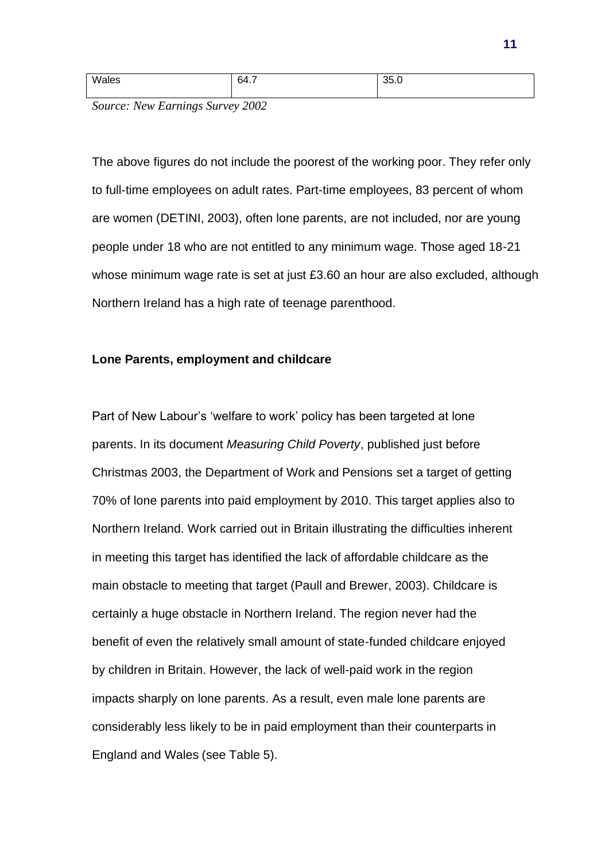| Wales | 64 7<br>י⊤ט | 35.0 |
|-------|-------------|------|
|       |             |      |

*Source: New Earnings Survey 2002*

The above figures do not include the poorest of the working poor. They refer only to full-time employees on adult rates. Part-time employees, 83 percent of whom are women (DETINI, 2003), often lone parents, are not included, nor are young people under 18 who are not entitled to any minimum wage. Those aged 18-21 whose minimum wage rate is set at just £3.60 an hour are also excluded, although Northern Ireland has a high rate of teenage parenthood.

## **Lone Parents, employment and childcare**

Part of New Labour's 'welfare to work' policy has been targeted at lone parents. In its document *Measuring Child Poverty*, published just before Christmas 2003, the Department of Work and Pensions set a target of getting 70% of lone parents into paid employment by 2010. This target applies also to Northern Ireland. Work carried out in Britain illustrating the difficulties inherent in meeting this target has identified the lack of affordable childcare as the main obstacle to meeting that target (Paull and Brewer, 2003). Childcare is certainly a huge obstacle in Northern Ireland. The region never had the benefit of even the relatively small amount of state-funded childcare enjoyed by children in Britain. However, the lack of well-paid work in the region impacts sharply on lone parents. As a result, even male lone parents are considerably less likely to be in paid employment than their counterparts in England and Wales (see Table 5).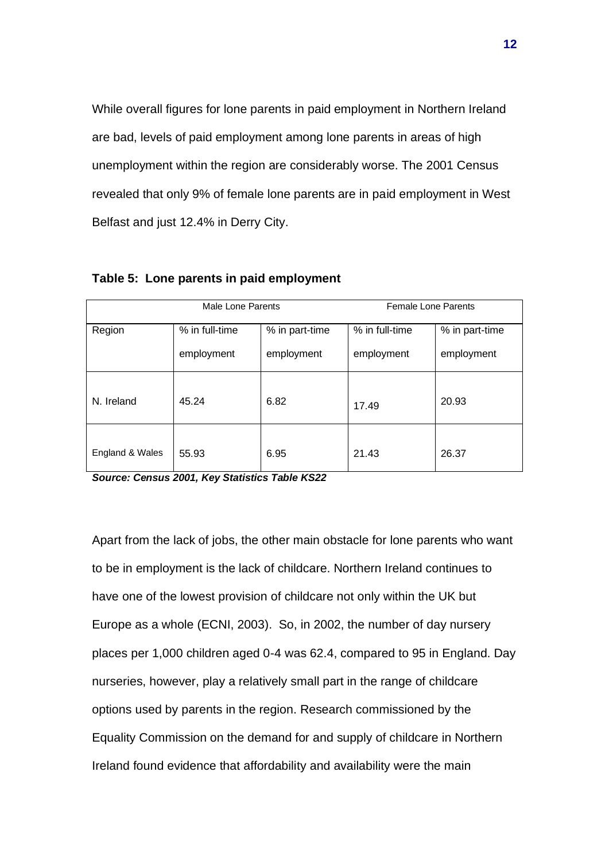While overall figures for lone parents in paid employment in Northern Ireland are bad, levels of paid employment among lone parents in areas of high unemployment within the region are considerably worse. The 2001 Census revealed that only 9% of female lone parents are in paid employment in West Belfast and just 12.4% in Derry City.

| Male Lone Parents |                              | <b>Female Lone Parents</b>   |                              |                              |
|-------------------|------------------------------|------------------------------|------------------------------|------------------------------|
| Region            | % in full-time<br>employment | % in part-time<br>employment | % in full-time<br>employment | % in part-time<br>employment |
| N. Ireland        | 45.24                        | 6.82                         | 17.49                        | 20.93                        |
| England & Wales   | 55.93                        | 6.95                         | 21.43                        | 26.37                        |

#### **Table 5: Lone parents in paid employment**

*Source: Census 2001, Key Statistics Table KS22*

Apart from the lack of jobs, the other main obstacle for lone parents who want to be in employment is the lack of childcare. Northern Ireland continues to have one of the lowest provision of childcare not only within the UK but Europe as a whole (ECNI, 2003). So, in 2002, the number of day nursery places per 1,000 children aged 0-4 was 62.4, compared to 95 in England. Day nurseries, however, play a relatively small part in the range of childcare options used by parents in the region. Research commissioned by the Equality Commission on the demand for and supply of childcare in Northern Ireland found evidence that affordability and availability were the main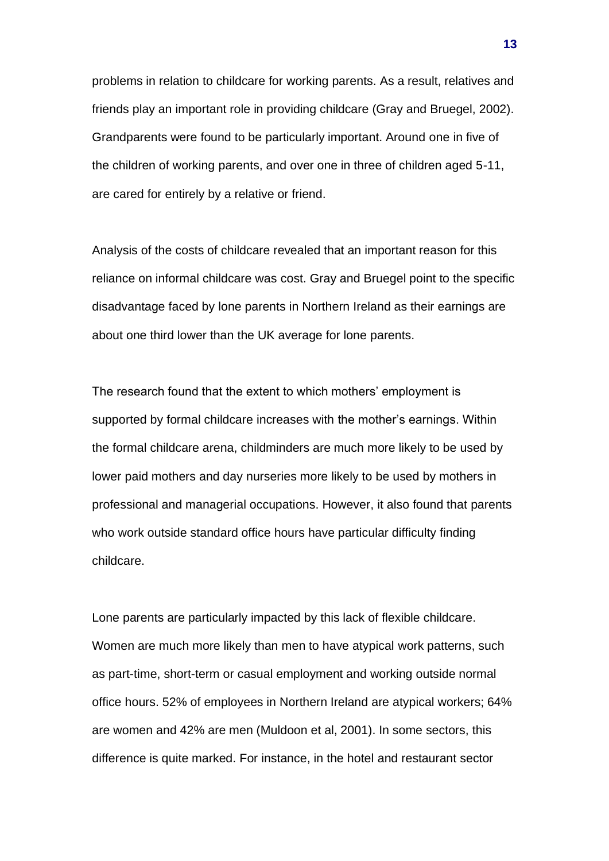problems in relation to childcare for working parents. As a result, relatives and friends play an important role in providing childcare (Gray and Bruegel, 2002). Grandparents were found to be particularly important. Around one in five of the children of working parents, and over one in three of children aged 5-11, are cared for entirely by a relative or friend.

Analysis of the costs of childcare revealed that an important reason for this reliance on informal childcare was cost. Gray and Bruegel point to the specific disadvantage faced by lone parents in Northern Ireland as their earnings are about one third lower than the UK average for lone parents.

The research found that the extent to which mothers' employment is supported by formal childcare increases with the mother's earnings. Within the formal childcare arena, childminders are much more likely to be used by lower paid mothers and day nurseries more likely to be used by mothers in professional and managerial occupations. However, it also found that parents who work outside standard office hours have particular difficulty finding childcare.

Lone parents are particularly impacted by this lack of flexible childcare. Women are much more likely than men to have atypical work patterns, such as part-time, short-term or casual employment and working outside normal office hours. 52% of employees in Northern Ireland are atypical workers; 64% are women and 42% are men (Muldoon et al, 2001). In some sectors, this difference is quite marked. For instance, in the hotel and restaurant sector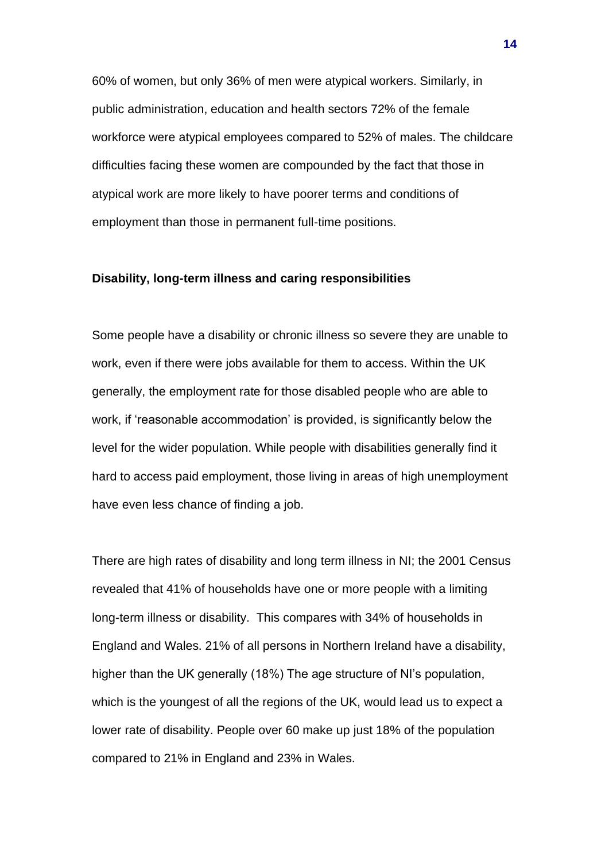60% of women, but only 36% of men were atypical workers. Similarly, in public administration, education and health sectors 72% of the female workforce were atypical employees compared to 52% of males. The childcare difficulties facing these women are compounded by the fact that those in atypical work are more likely to have poorer terms and conditions of employment than those in permanent full-time positions.

#### **Disability, long-term illness and caring responsibilities**

Some people have a disability or chronic illness so severe they are unable to work, even if there were jobs available for them to access. Within the UK generally, the employment rate for those disabled people who are able to work, if 'reasonable accommodation' is provided, is significantly below the level for the wider population. While people with disabilities generally find it hard to access paid employment, those living in areas of high unemployment have even less chance of finding a job.

There are high rates of disability and long term illness in NI; the 2001 Census revealed that 41% of households have one or more people with a limiting long-term illness or disability. This compares with 34% of households in England and Wales. 21% of all persons in Northern Ireland have a disability, higher than the UK generally (18%) The age structure of NI's population, which is the youngest of all the regions of the UK, would lead us to expect a lower rate of disability. People over 60 make up just 18% of the population compared to 21% in England and 23% in Wales.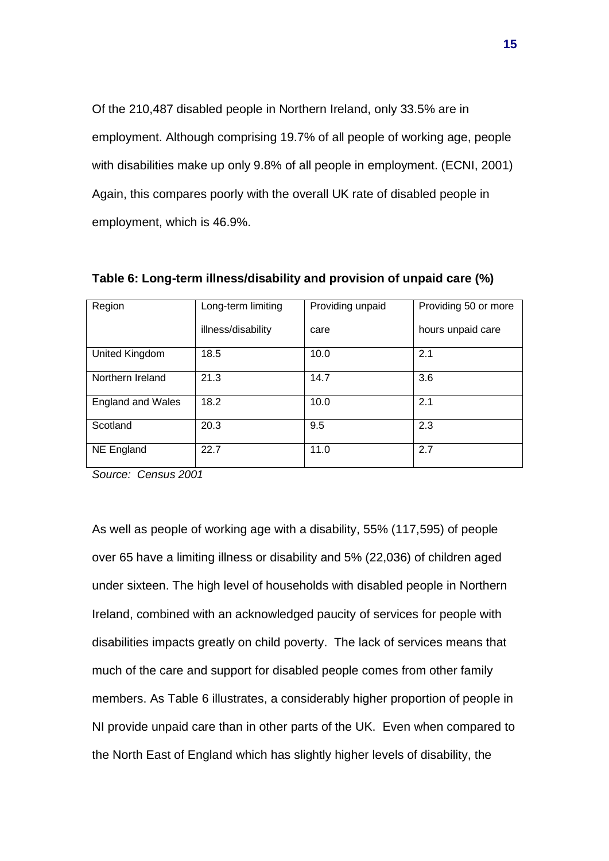Of the 210,487 disabled people in Northern Ireland, only 33.5% are in employment. Although comprising 19.7% of all people of working age, people with disabilities make up only 9.8% of all people in employment. (ECNI, 2001) Again, this compares poorly with the overall UK rate of disabled people in employment, which is 46.9%.

| Region                   | Long-term limiting | Providing unpaid | Providing 50 or more |
|--------------------------|--------------------|------------------|----------------------|
|                          | illness/disability | care             | hours unpaid care    |
| United Kingdom           | 18.5               | 10.0             | 2.1                  |
| Northern Ireland         | 21.3               | 14.7             | 3.6                  |
| <b>England and Wales</b> | 18.2               | 10.0             | 2.1                  |
| Scotland                 | 20.3               | 9.5              | 2.3                  |
| NE England               | 22.7               | 11.0             | 2.7                  |

**Table 6: Long-term illness/disability and provision of unpaid care (%)**

*Source: Census 2001*

As well as people of working age with a disability, 55% (117,595) of people over 65 have a limiting illness or disability and 5% (22,036) of children aged under sixteen. The high level of households with disabled people in Northern Ireland, combined with an acknowledged paucity of services for people with disabilities impacts greatly on child poverty. The lack of services means that much of the care and support for disabled people comes from other family members. As Table 6 illustrates, a considerably higher proportion of people in NI provide unpaid care than in other parts of the UK. Even when compared to the North East of England which has slightly higher levels of disability, the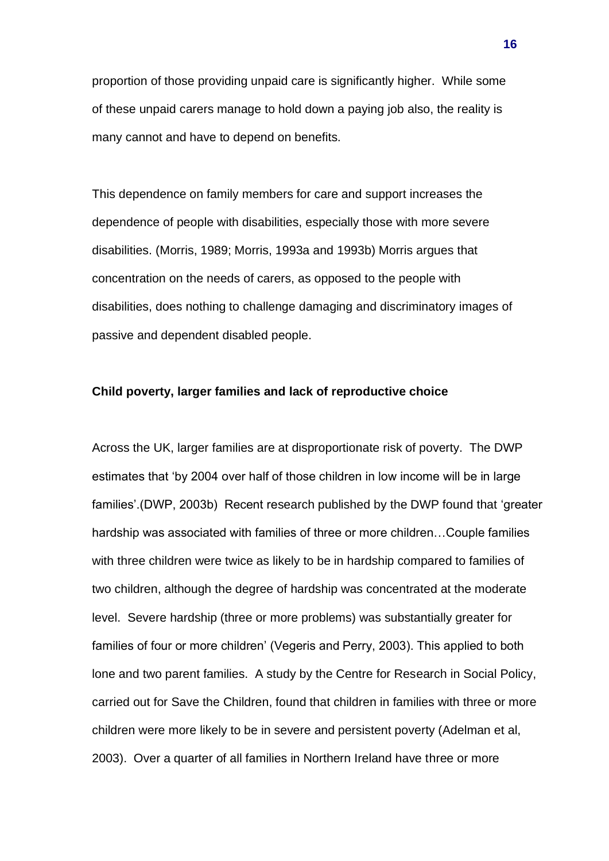proportion of those providing unpaid care is significantly higher. While some of these unpaid carers manage to hold down a paying job also, the reality is many cannot and have to depend on benefits.

This dependence on family members for care and support increases the dependence of people with disabilities, especially those with more severe disabilities. (Morris, 1989; Morris, 1993a and 1993b) Morris argues that concentration on the needs of carers, as opposed to the people with disabilities, does nothing to challenge damaging and discriminatory images of passive and dependent disabled people.

### **Child poverty, larger families and lack of reproductive choice**

Across the UK, larger families are at disproportionate risk of poverty. The DWP estimates that 'by 2004 over half of those children in low income will be in large families'.(DWP, 2003b) Recent research published by the DWP found that 'greater hardship was associated with families of three or more children…Couple families with three children were twice as likely to be in hardship compared to families of two children, although the degree of hardship was concentrated at the moderate level. Severe hardship (three or more problems) was substantially greater for families of four or more children' (Vegeris and Perry, 2003). This applied to both lone and two parent families. A study by the Centre for Research in Social Policy, carried out for Save the Children, found that children in families with three or more children were more likely to be in severe and persistent poverty (Adelman et al, 2003). Over a quarter of all families in Northern Ireland have three or more

**16**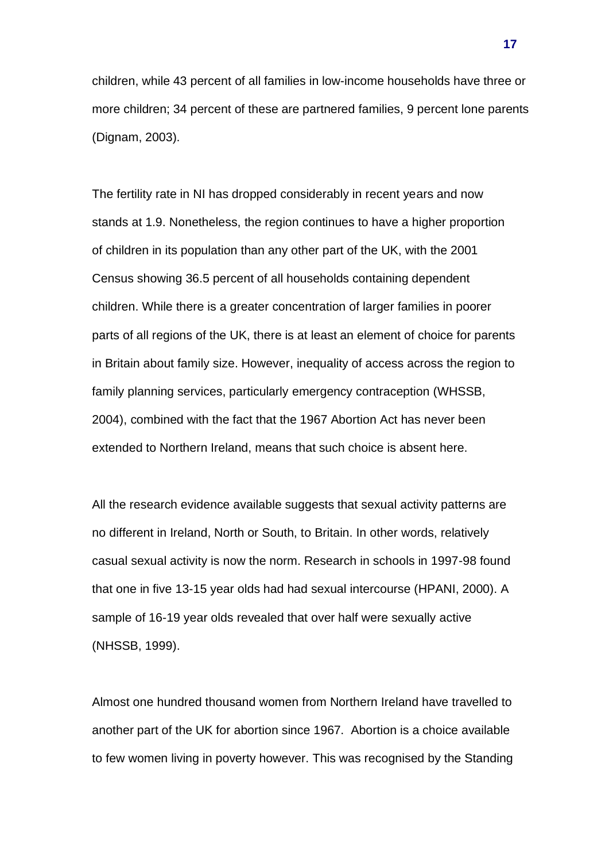children, while 43 percent of all families in low-income households have three or more children; 34 percent of these are partnered families, 9 percent lone parents (Dignam, 2003).

The fertility rate in NI has dropped considerably in recent years and now stands at 1.9. Nonetheless, the region continues to have a higher proportion of children in its population than any other part of the UK, with the 2001 Census showing 36.5 percent of all households containing dependent children. While there is a greater concentration of larger families in poorer parts of all regions of the UK, there is at least an element of choice for parents in Britain about family size. However, inequality of access across the region to family planning services, particularly emergency contraception (WHSSB, 2004), combined with the fact that the 1967 Abortion Act has never been extended to Northern Ireland, means that such choice is absent here.

All the research evidence available suggests that sexual activity patterns are no different in Ireland, North or South, to Britain. In other words, relatively casual sexual activity is now the norm. Research in schools in 1997-98 found that one in five 13-15 year olds had had sexual intercourse (HPANI, 2000). A sample of 16-19 year olds revealed that over half were sexually active (NHSSB, 1999).

Almost one hundred thousand women from Northern Ireland have travelled to another part of the UK for abortion since 1967. Abortion is a choice available to few women living in poverty however. This was recognised by the Standing

**17**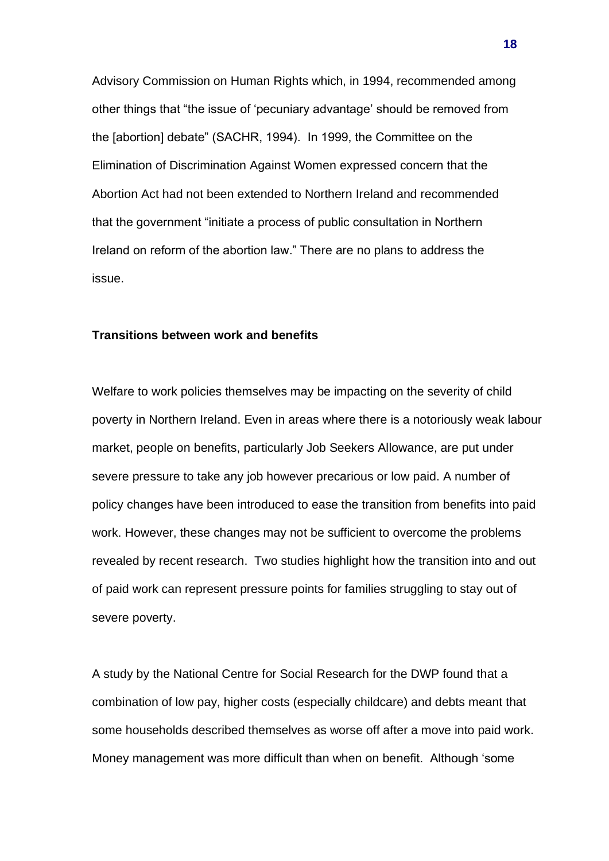Advisory Commission on Human Rights which, in 1994, recommended among other things that "the issue of 'pecuniary advantage' should be removed from the [abortion] debate" (SACHR, 1994). In 1999, the Committee on the Elimination of Discrimination Against Women expressed concern that the Abortion Act had not been extended to Northern Ireland and recommended that the government "initiate a process of public consultation in Northern Ireland on reform of the abortion law." There are no plans to address the issue.

#### **Transitions between work and benefits**

Welfare to work policies themselves may be impacting on the severity of child poverty in Northern Ireland. Even in areas where there is a notoriously weak labour market, people on benefits, particularly Job Seekers Allowance, are put under severe pressure to take any job however precarious or low paid. A number of policy changes have been introduced to ease the transition from benefits into paid work. However, these changes may not be sufficient to overcome the problems revealed by recent research. Two studies highlight how the transition into and out of paid work can represent pressure points for families struggling to stay out of severe poverty.

A study by the National Centre for Social Research for the DWP found that a combination of low pay, higher costs (especially childcare) and debts meant that some households described themselves as worse off after a move into paid work. Money management was more difficult than when on benefit. Although 'some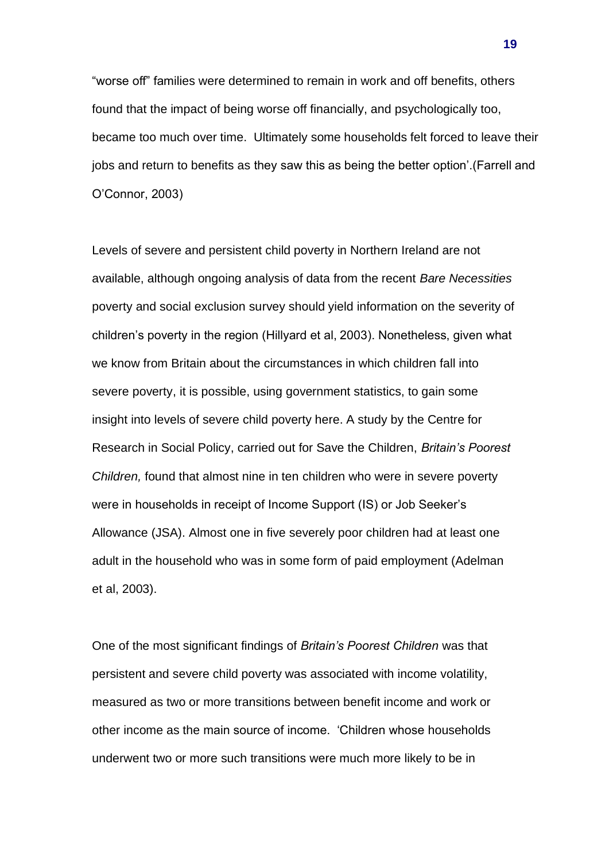"worse off" families were determined to remain in work and off benefits, others found that the impact of being worse off financially, and psychologically too, became too much over time. Ultimately some households felt forced to leave their jobs and return to benefits as they saw this as being the better option'.(Farrell and O'Connor, 2003)

Levels of severe and persistent child poverty in Northern Ireland are not available, although ongoing analysis of data from the recent *Bare Necessities*  poverty and social exclusion survey should yield information on the severity of children's poverty in the region (Hillyard et al, 2003). Nonetheless, given what we know from Britain about the circumstances in which children fall into severe poverty, it is possible, using government statistics, to gain some insight into levels of severe child poverty here. A study by the Centre for Research in Social Policy, carried out for Save the Children, *Britain's Poorest Children,* found that almost nine in ten children who were in severe poverty were in households in receipt of Income Support (IS) or Job Seeker's Allowance (JSA). Almost one in five severely poor children had at least one adult in the household who was in some form of paid employment (Adelman et al, 2003).

One of the most significant findings of *Britain's Poorest Children* was that persistent and severe child poverty was associated with income volatility, measured as two or more transitions between benefit income and work or other income as the main source of income. 'Children whose households underwent two or more such transitions were much more likely to be in

**19**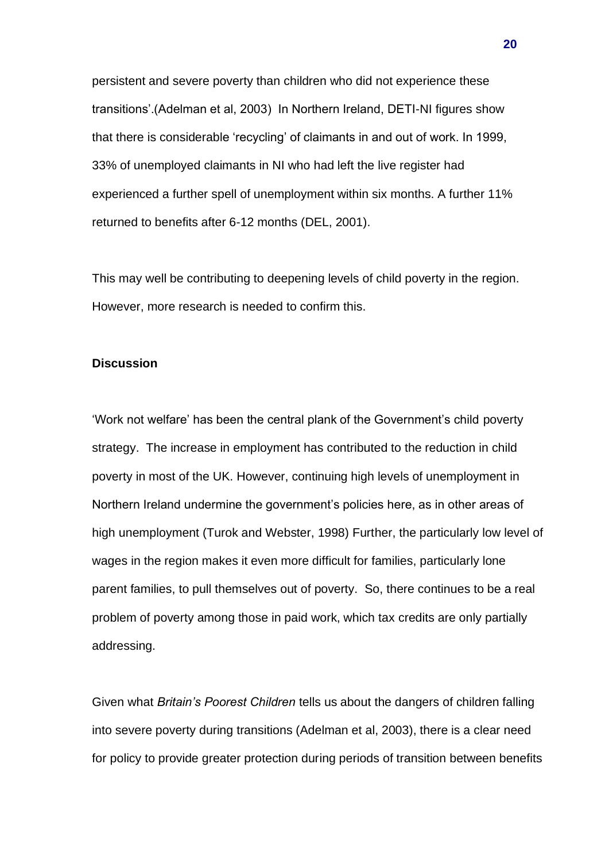persistent and severe poverty than children who did not experience these transitions'.(Adelman et al, 2003) In Northern Ireland, DETI-NI figures show that there is considerable 'recycling' of claimants in and out of work. In 1999, 33% of unemployed claimants in NI who had left the live register had experienced a further spell of unemployment within six months. A further 11% returned to benefits after 6-12 months (DEL, 2001).

This may well be contributing to deepening levels of child poverty in the region. However, more research is needed to confirm this.

### **Discussion**

'Work not welfare' has been the central plank of the Government's child poverty strategy. The increase in employment has contributed to the reduction in child poverty in most of the UK. However, continuing high levels of unemployment in Northern Ireland undermine the government's policies here, as in other areas of high unemployment (Turok and Webster, 1998) Further, the particularly low level of wages in the region makes it even more difficult for families, particularly lone parent families, to pull themselves out of poverty. So, there continues to be a real problem of poverty among those in paid work, which tax credits are only partially addressing.

Given what *Britain's Poorest Children* tells us about the dangers of children falling into severe poverty during transitions (Adelman et al, 2003), there is a clear need for policy to provide greater protection during periods of transition between benefits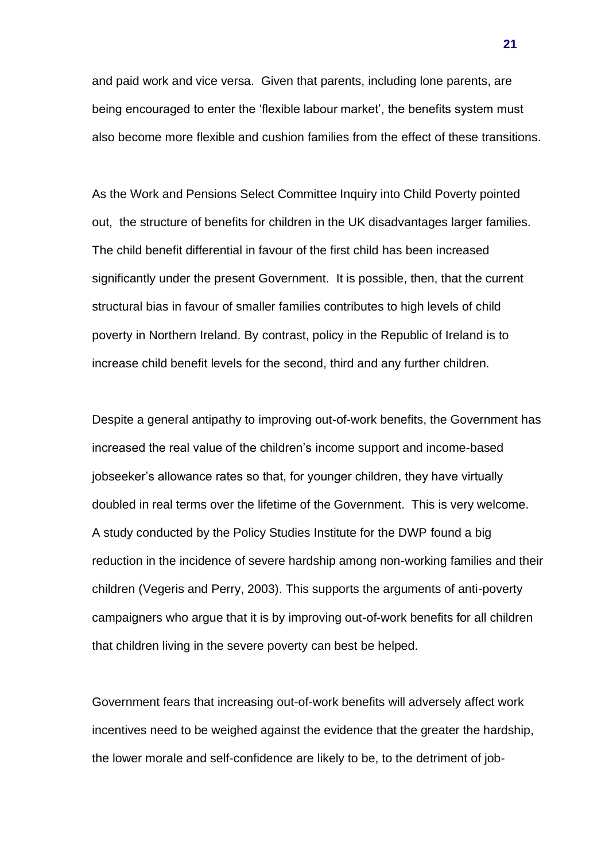and paid work and vice versa. Given that parents, including lone parents, are being encouraged to enter the 'flexible labour market', the benefits system must also become more flexible and cushion families from the effect of these transitions.

As the Work and Pensions Select Committee Inquiry into Child Poverty pointed out, the structure of benefits for children in the UK disadvantages larger families. The child benefit differential in favour of the first child has been increased significantly under the present Government. It is possible, then, that the current structural bias in favour of smaller families contributes to high levels of child poverty in Northern Ireland. By contrast, policy in the Republic of Ireland is to increase child benefit levels for the second, third and any further children.

Despite a general antipathy to improving out-of-work benefits, the Government has increased the real value of the children's income support and income-based jobseeker's allowance rates so that, for younger children, they have virtually doubled in real terms over the lifetime of the Government. This is very welcome. A study conducted by the Policy Studies Institute for the DWP found a big reduction in the incidence of severe hardship among non-working families and their children (Vegeris and Perry, 2003). This supports the arguments of anti-poverty campaigners who argue that it is by improving out-of-work benefits for all children that children living in the severe poverty can best be helped.

Government fears that increasing out-of-work benefits will adversely affect work incentives need to be weighed against the evidence that the greater the hardship, the lower morale and self-confidence are likely to be, to the detriment of job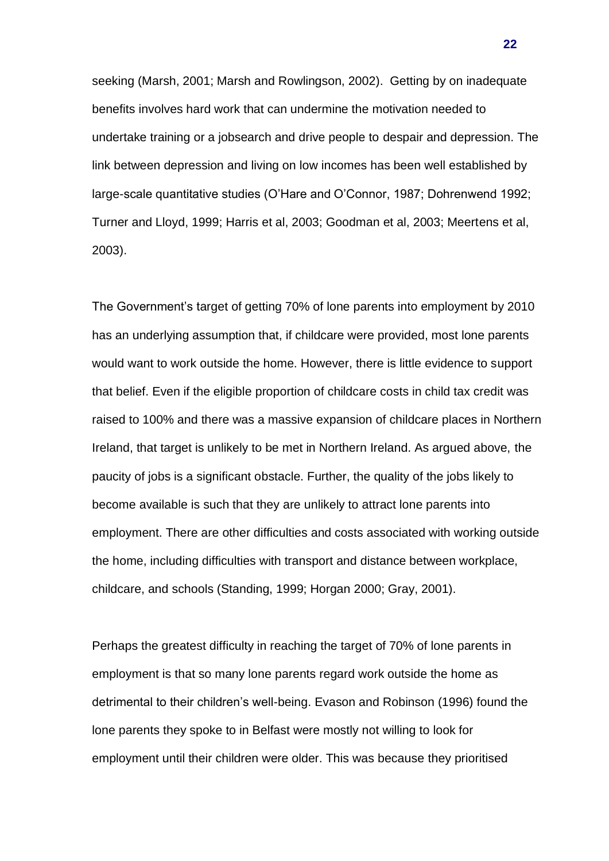seeking (Marsh, 2001; Marsh and Rowlingson, 2002). Getting by on inadequate benefits involves hard work that can undermine the motivation needed to undertake training or a jobsearch and drive people to despair and depression. The link between depression and living on low incomes has been well established by large-scale quantitative studies (O'Hare and O'Connor, 1987; Dohrenwend 1992; Turner and Lloyd, 1999; Harris et al, 2003; Goodman et al, 2003; Meertens et al, 2003).

The Government's target of getting 70% of lone parents into employment by 2010 has an underlying assumption that, if childcare were provided, most lone parents would want to work outside the home. However, there is little evidence to support that belief. Even if the eligible proportion of childcare costs in child tax credit was raised to 100% and there was a massive expansion of childcare places in Northern Ireland, that target is unlikely to be met in Northern Ireland. As argued above, the paucity of jobs is a significant obstacle. Further, the quality of the jobs likely to become available is such that they are unlikely to attract lone parents into employment. There are other difficulties and costs associated with working outside the home, including difficulties with transport and distance between workplace, childcare, and schools (Standing, 1999; Horgan 2000; Gray, 2001).

Perhaps the greatest difficulty in reaching the target of 70% of lone parents in employment is that so many lone parents regard work outside the home as detrimental to their children's well-being. Evason and Robinson (1996) found the lone parents they spoke to in Belfast were mostly not willing to look for employment until their children were older. This was because they prioritised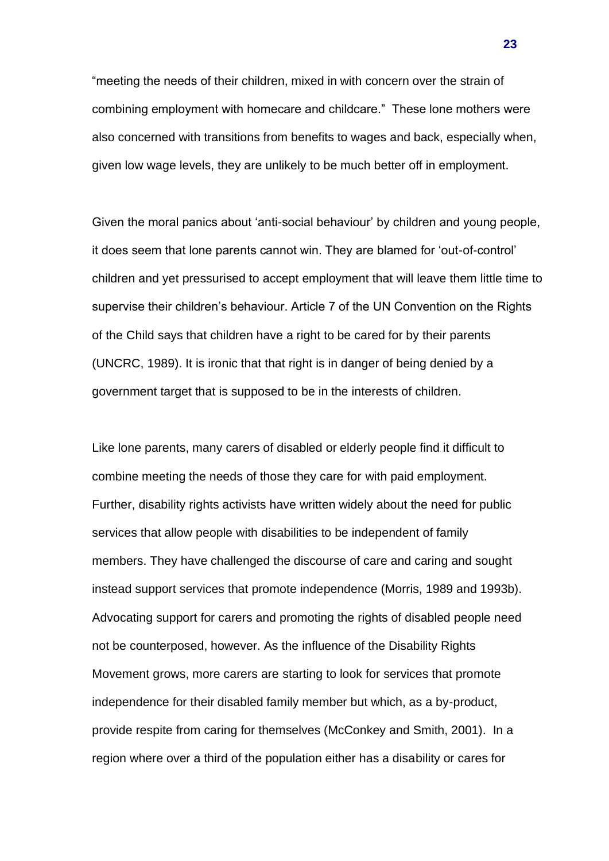"meeting the needs of their children, mixed in with concern over the strain of combining employment with homecare and childcare." These lone mothers were also concerned with transitions from benefits to wages and back, especially when, given low wage levels, they are unlikely to be much better off in employment.

Given the moral panics about 'anti-social behaviour' by children and young people, it does seem that lone parents cannot win. They are blamed for 'out-of-control' children and yet pressurised to accept employment that will leave them little time to supervise their children's behaviour. Article 7 of the UN Convention on the Rights of the Child says that children have a right to be cared for by their parents (UNCRC, 1989). It is ironic that that right is in danger of being denied by a government target that is supposed to be in the interests of children.

Like lone parents, many carers of disabled or elderly people find it difficult to combine meeting the needs of those they care for with paid employment. Further, disability rights activists have written widely about the need for public services that allow people with disabilities to be independent of family members. They have challenged the discourse of care and caring and sought instead support services that promote independence (Morris, 1989 and 1993b). Advocating support for carers and promoting the rights of disabled people need not be counterposed, however. As the influence of the Disability Rights Movement grows, more carers are starting to look for services that promote independence for their disabled family member but which, as a by-product, provide respite from caring for themselves (McConkey and Smith, 2001). In a region where over a third of the population either has a disability or cares for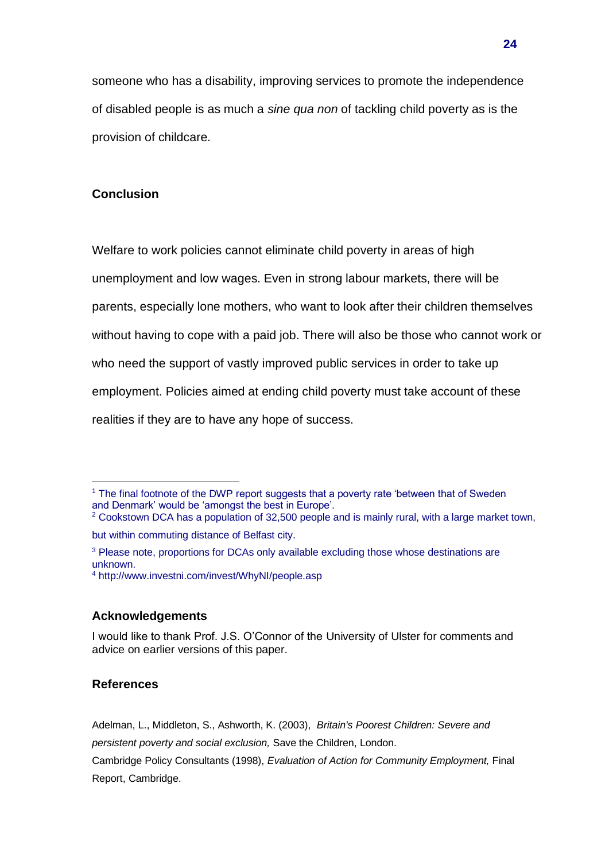someone who has a disability, improving services to promote the independence of disabled people is as much a *sine qua non* of tackling child poverty as is the provision of childcare.

# **Conclusion**

Welfare to work policies cannot eliminate child poverty in areas of high unemployment and low wages. Even in strong labour markets, there will be parents, especially lone mothers, who want to look after their children themselves without having to cope with a paid job. There will also be those who cannot work or who need the support of vastly improved public services in order to take up employment. Policies aimed at ending child poverty must take account of these realities if they are to have any hope of success.

## **Acknowledgements**

# **References**

Adelman, L., Middleton, S., Ashworth, K. (2003), *Britain's Poorest Children: Severe and* 

*persistent poverty and social exclusion,* Save the Children, London.

Cambridge Policy Consultants (1998), *Evaluation of Action for Community Employment,* Final Report, Cambridge.

<sup>&</sup>lt;sup>1</sup> The final footnote of the DWP report suggests that a poverty rate 'between that of Sweden and Denmark' would be 'amongst the best in Europe'.

<sup>&</sup>lt;sup>2</sup> Cookstown DCA has a population of 32,500 people and is mainly rural, with a large market town, but within commuting distance of Belfast city.

<sup>&</sup>lt;sup>3</sup> Please note, proportions for DCAs only available excluding those whose destinations are unknown.

<sup>4</sup> http://www.investni.com/invest/WhyNI/people.asp

I would like to thank Prof. J.S. O'Connor of the University of Ulster for comments and advice on earlier versions of this paper.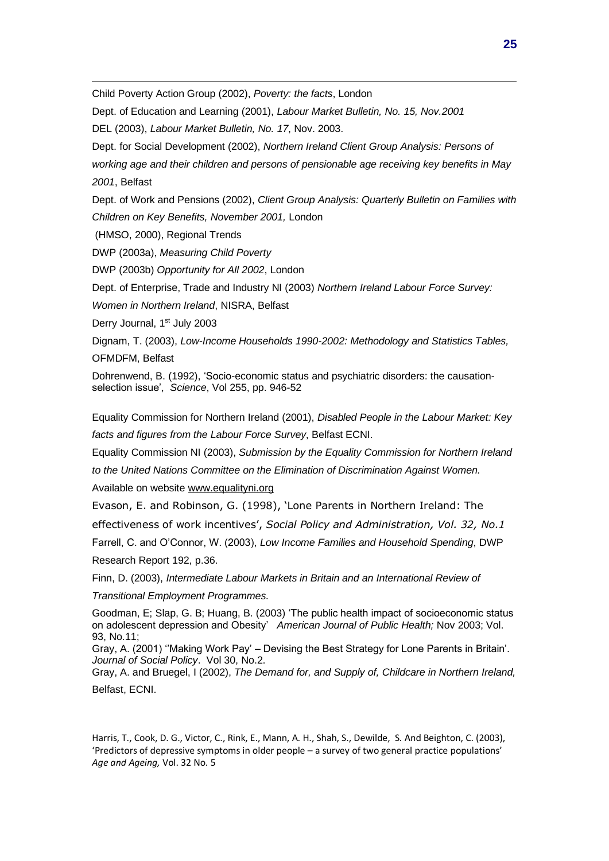Child Poverty Action Group (2002), *Poverty: the facts*, London

Dept. of Education and Learning (2001), *Labour Market Bulletin, No. 15, Nov.2001*

DEL (2003), *Labour Market Bulletin, No. 17*, Nov. 2003.

Dept. for Social Development (2002), *Northern Ireland Client Group Analysis: Persons of* 

*working age and their children and persons of pensionable age receiving key benefits in May 2001*, Belfast

Dept. of Work and Pensions (2002), *Client Group Analysis: Quarterly Bulletin on Families with Children on Key Benefits, November 2001,* London

(HMSO, 2000), Regional Trends

DWP (2003a), *Measuring Child Poverty*

DWP (2003b) *Opportunity for All 2002*, London

Dept. of Enterprise, Trade and Industry NI (2003) *Northern Ireland Labour Force Survey:* 

*Women in Northern Ireland*, NISRA, Belfast

Derry Journal, 1<sup>st</sup> July 2003

Dignam, T. (2003), *Low-Income Households 1990-2002: Methodology and Statistics Tables,* OFMDFM, Belfast

Dohrenwend, B. (1992), 'Socio-economic status and psychiatric disorders: the causationselection issue', *Science*, Vol 255, pp. 946-52

Equality Commission for Northern Ireland (2001), *Disabled People in the Labour Market: Key facts and figures from the Labour Force Survey*, Belfast ECNI.

Equality Commission NI (2003), *Submission by the Equality Commission for Northern Ireland* 

*to the United Nations Committee on the Elimination of Discrimination Against Women.*

Available on website [www.equalityni.org](http://www.equalityni.org/)

Evason, E. and Robinson, G. (1998), 'Lone Parents in Northern Ireland: The

effectiveness of work incentives', *Social Policy and Administration, Vol. 32, No.1*

Farrell, C. and O'Connor, W. (2003), *Low Income Families and Household Spending*, DWP Research Report 192, p.36.

Finn, D. (2003), *Intermediate Labour Markets in Britain and an International Review of* 

*Transitional Employment Programmes.*

Goodman, E; Slap, G. B; Huang, B. (2003) 'The public health impact of socioeconomic status on adolescent depression and Obesity' *American Journal of Public Health;* Nov 2003; Vol. 93, No.11;

Gray, A. (2001) ''Making Work Pay' – Devising the Best Strategy for Lone Parents in Britain'. *Journal of Social Policy*. Vol 30, No.2.

Gray, A. and Bruegel, I (2002), *The Demand for, and Supply of, Childcare in Northern Ireland,*  Belfast, ECNI.

Harris, T., Cook, D. G., Victor, C., Rink, E., Mann, A. H., Shah, S., Dewilde, S. And Beighton, C. (2003), 'Predictors of depressive symptoms in older people – a survey of two general practice populations' *Age and Ageing,* Vol. 32 No. 5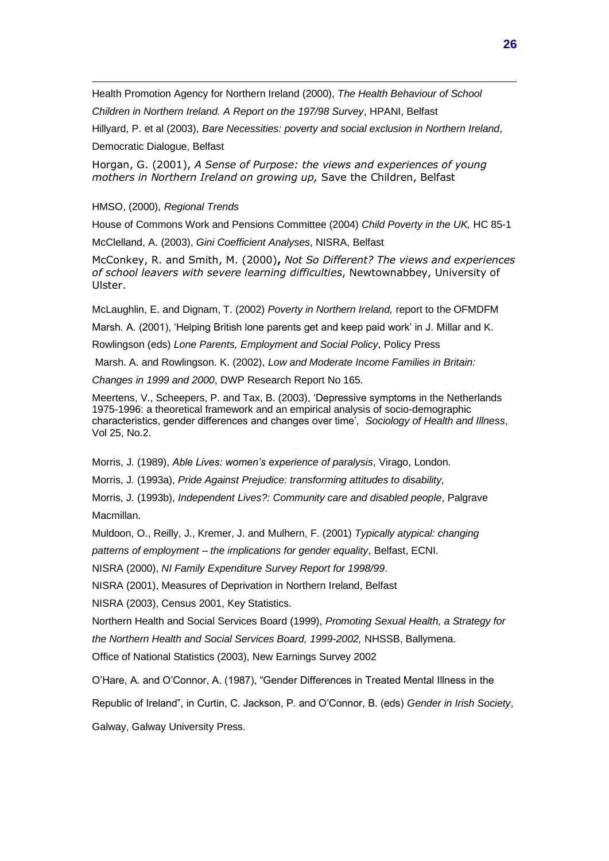Health Promotion Agency for Northern Ireland (2000), *The Health Behaviour of School* 

*Children in Northern Ireland. A Report on the 197/98 Survey*, HPANI, Belfast

Hillyard, P. et al (2003), *Bare Necessities: poverty and social exclusion in Northern Ireland*,

Democratic Dialogue, Belfast

Horgan, G. (2001), *A Sense of Purpose: the views and experiences of young mothers in Northern Ireland on growing up,* Save the Children, Belfast

HMSO, (2000), *Regional Trends*

House of Commons Work and Pensions Committee (2004) *Child Poverty in the UK,* HC 85-1

McClelland, A. (2003), *Gini Coefficient Analyses*, NISRA, Belfast

McConkey, R. and Smith, M. (2000)**,** *Not So Different? The views and experiences of school leavers with severe learning difficulties*, Newtownabbey, University of Ulster.

McLaughlin, E. and Dignam, T. (2002) *Poverty in Northern Ireland,* report to the OFMDFM

Marsh. A. (2001), 'Helping British lone parents get and keep paid work' in J. Millar and K.

Rowlingson (eds) *Lone Parents, Employment and Social Policy*, Policy Press

Marsh. A. and Rowlingson. K. (2002), *Low and Moderate Income Families in Britain:* 

*Changes in 1999 and 2000*, DWP Research Report No 165.

Meertens, V., Scheepers, P. and Tax, B. (2003), 'Depressive symptoms in the Netherlands 1975-1996: a theoretical framework and an empirical analysis of socio-demographic characteristics, gender differences and changes over time', *Sociology of Health and Illness*, Vol 25, No.2.

Morris, J. (1989), *Able Lives: women's experience of paralysis*, Virago, London.

Morris, J. (1993a), *Pride Against Prejudice: transforming attitudes to disability,* 

Morris, J. (1993b), *Independent Lives?: Community care and disabled people*, Palgrave Macmillan.

Muldoon, O., Reilly, J., Kremer, J. and Mulhern, F. (2001) *Typically atypical: changing* 

*patterns of employment – the implications for gender equality*, Belfast, ECNI.

NISRA (2000), *NI Family Expenditure Survey Report for 1998/99*.

NISRA (2001), Measures of Deprivation in Northern Ireland, Belfast

NISRA (2003), Census 2001, Key Statistics.

Northern Health and Social Services Board (1999), *Promoting Sexual Health, a Strategy for the Northern Health and Social Services Board, 1999-2002,* NHSSB, Ballymena.

Office of National Statistics (2003), New Earnings Survey 2002

O'Hare, A. and O'Connor, A. (1987), "Gender Differences in Treated Mental Illness in the

Republic of Ireland", in Curtin, C. Jackson, P. and O'Connor, B. (eds) *Gender in Irish Society*,

Galway, Galway University Press.